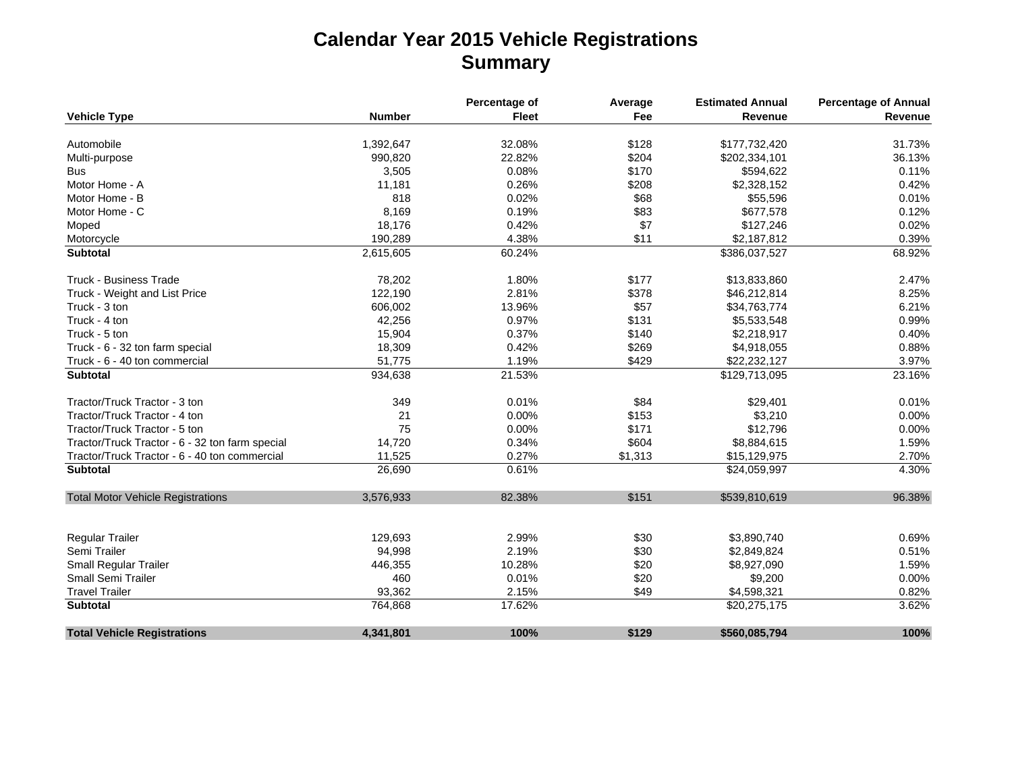## **Calendar Year 2015 Vehicle Registrations Summary**

|                                                 |               | Percentage of | Average | <b>Estimated Annual</b> | <b>Percentage of Annual</b> |
|-------------------------------------------------|---------------|---------------|---------|-------------------------|-----------------------------|
| <b>Vehicle Type</b>                             | <b>Number</b> | <b>Fleet</b>  | Fee     | Revenue                 | Revenue                     |
| Automobile                                      | 1,392,647     | 32.08%        | \$128   | \$177,732,420           | 31.73%                      |
| Multi-purpose                                   | 990,820       | 22.82%        | \$204   | \$202,334,101           | 36.13%                      |
| <b>Bus</b>                                      | 3,505         | 0.08%         | \$170   | \$594,622               | 0.11%                       |
| Motor Home - A                                  | 11,181        | 0.26%         | \$208   | \$2,328,152             | 0.42%                       |
| Motor Home - B                                  | 818           | 0.02%         | \$68    | \$55,596                | 0.01%                       |
| Motor Home - C                                  | 8,169         | 0.19%         | \$83    | \$677,578               | 0.12%                       |
| Moped                                           | 18,176        | 0.42%         | \$7     | \$127,246               | 0.02%                       |
|                                                 | 190,289       | 4.38%         | \$11    | \$2,187,812             | 0.39%                       |
| Motorcycle<br><b>Subtotal</b>                   | 2,615,605     | 60.24%        |         | \$386,037,527           | 68.92%                      |
|                                                 |               |               |         |                         |                             |
| <b>Truck - Business Trade</b>                   | 78,202        | 1.80%         | \$177   | \$13,833,860            | 2.47%                       |
| Truck - Weight and List Price                   | 122,190       | 2.81%         | \$378   | \$46,212,814            | 8.25%                       |
| Truck - 3 ton                                   | 606,002       | 13.96%        | \$57    | \$34,763,774            | 6.21%                       |
| Truck - 4 ton                                   | 42,256        | 0.97%         | \$131   | \$5,533,548             | 0.99%                       |
| Truck - 5 ton                                   | 15,904        | 0.37%         | \$140   | \$2,218,917             | 0.40%                       |
| Truck - 6 - 32 ton farm special                 | 18,309        | 0.42%         | \$269   | \$4,918,055             | 0.88%                       |
| Truck - 6 - 40 ton commercial                   | 51,775        | 1.19%         | \$429   | \$22,232,127            | 3.97%                       |
| <b>Subtotal</b>                                 | 934,638       | 21.53%        |         | \$129,713,095           | 23.16%                      |
| Tractor/Truck Tractor - 3 ton                   | 349           | 0.01%         | \$84    | \$29,401                | 0.01%                       |
| Tractor/Truck Tractor - 4 ton                   | 21            | 0.00%         | \$153   | \$3,210                 | 0.00%                       |
| Tractor/Truck Tractor - 5 ton                   | 75            | 0.00%         | \$171   | \$12,796                | 0.00%                       |
| Tractor/Truck Tractor - 6 - 32 ton farm special | 14,720        | 0.34%         | \$604   | \$8,884,615             | 1.59%                       |
| Tractor/Truck Tractor - 6 - 40 ton commercial   | 11,525        | 0.27%         | \$1,313 | \$15,129,975            | 2.70%                       |
| <b>Subtotal</b>                                 | 26,690        | 0.61%         |         | \$24,059,997            | 4.30%                       |
| <b>Total Motor Vehicle Registrations</b>        | 3,576,933     | 82.38%        | \$151   | \$539,810,619           | 96.38%                      |
|                                                 |               |               |         |                         |                             |
| Regular Trailer                                 | 129,693       | 2.99%         | \$30    | \$3,890,740             | 0.69%                       |
| Semi Trailer                                    | 94,998        | 2.19%         | \$30    | \$2,849,824             | 0.51%                       |
| <b>Small Regular Trailer</b>                    | 446,355       | 10.28%        | \$20    | \$8,927,090             | 1.59%                       |
| <b>Small Semi Trailer</b>                       | 460           | 0.01%         | \$20    | \$9,200                 | 0.00%                       |
| <b>Travel Trailer</b>                           | 93,362        | 2.15%         | \$49    | \$4,598,321             | 0.82%                       |
| Subtotal                                        | 764,868       | 17.62%        |         | \$20,275,175            | 3.62%                       |
| <b>Total Vehicle Registrations</b>              | 4,341,801     | 100%          | \$129   | \$560,085,794           | 100%                        |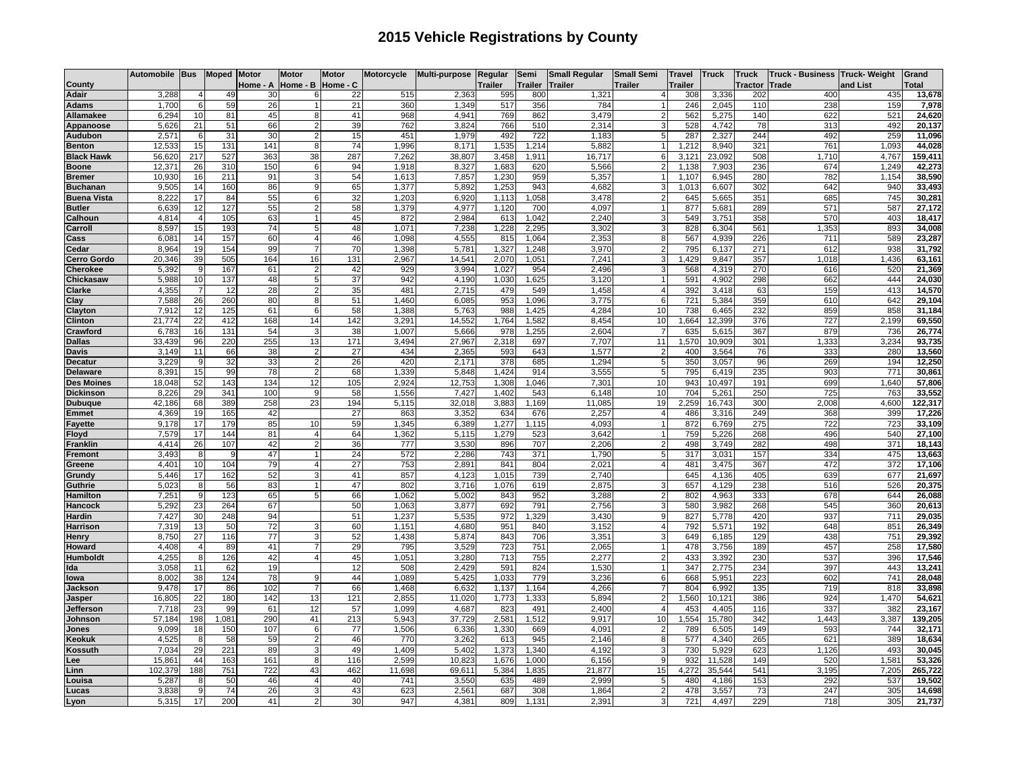## **2015 Vehicle Registrations by County**

|                                | Automobile Bus  |                | <b>Moped</b> | <b>Motor</b> | <b>Motor</b>   | <b>Motor</b> | Motorcycle   | <b>Multi-purpose</b> | Regular         | Semi           | <b>Small Regular</b> | <b>Small Semi</b> | <b>Travel</b> | <b>Truck</b>   | <b>Truck</b>   | Truck - Business Truck- Weight |              | Grand            |
|--------------------------------|-----------------|----------------|--------------|--------------|----------------|--------------|--------------|----------------------|-----------------|----------------|----------------------|-------------------|---------------|----------------|----------------|--------------------------------|--------------|------------------|
| County                         |                 |                |              | Home - A     | Home - B       | Home - C     |              |                      | Trailer         | <b>Trailer</b> | <b>Trailer</b>       | <b>Trailer</b>    | Trailer       |                | <b>Tractor</b> | Trade                          | and List     | otal             |
| Adair                          | 3,288           | 4              | 49           | 30           |                | 22           | 515          | 2,363                | 595             | 800            | 1,321                |                   | 308           | 3,336          | 202            | 400                            | 435          | 13,678           |
| Adams                          | 1,700           | 6              | 59           | 26           |                | 21           | 360          | 1,349                | 517             | 356            | 784                  |                   | 246           | 2,045          | 110            | 238                            | 159          | 7,978            |
| Allamakee                      | 6,294           | 10             | 81           | 45           |                | 41           | 968          | 4,941                | 769             | 862            | 3,479                |                   | 562           | 5,275          | 140            | 622                            | 521          | 24,620           |
| Appanoose                      | 5,626           | 21             | 51           | 66           |                | 39           | 762          | 3,824                | 766             | 510            | 2,314                |                   | 528           | 4,742          | 78             | 313                            | 492          | 20,137           |
| Audubon                        | 2,571           | 6              | 31           | 30           |                | 15           | 451          | 1,979                | 492             | 722            | 1.183                |                   | 287           | 2,327          | 244            | 492                            | 259          | 11,096           |
| <b>Benton</b>                  | 12,533          | 15             | 131          | 141          | 8              | 74           | 1.996        | 8,171                | 1,535           | 1,214          | 5,882                |                   | 1,212         | 8,940          | 321            | 761                            | 1,093        | 44,028           |
| <b>Black Hawk</b>              | 56,62           | 217            | 527          | 363          | 38             | 287          | 7,262        | 38,807               | 3,458           | 1,911          | 16,717               |                   | 3,121         | 23,092         | 508            | 1,710                          | 4,767        | 159,411          |
| <b>Boone</b>                   | 12,37'          | 26             | 310          | 150          | 6              | 94           | 1,918        | 8,327                | 1,683           | 620            | 5,566                |                   | 1,138         | 7,903          | 236            | 674                            | 1,249        | 42,273           |
| <b>Bremer</b>                  | 10,930          | 16             | 211          | 91           |                | 54           | 1,613        | 7,857                | 1,230           | 959            | 5,357                |                   | 1,107         | 6,945          | 280            | 782                            | 1,154        | 38,590           |
| <b>Buchanan</b>                | 9,50            | 14             | 160          | 86           |                | 65           | 1,377        | 5,892                | 1,253           | 943            | 4.682                |                   | 1,013         | 6,607          | 302            | 642                            | 940          | 33,493           |
| <b>Buena Vista</b>             | 8,222           | 17             | 84           | 55           | 6              | 32           | 1,203        | 6,920                | 1,113           | 1,058          | 3,478                |                   | 645           | 5,665          | 351            | 685                            | 745          | 30,281           |
| <b>Butler</b>                  | 6,639           | 12             | 127          | 55           |                | 58           | 1.379        | 4.977                | 1.120           | 700            | 4.097                |                   | 877           | 5,681          | 289            | 571                            | 587          | 27,172           |
| Calhoun                        | 4,814           | 4              | 105          | 63           |                | 45           | 872          | 2,984                | 613             | 1,042          | 2,240                |                   | 549           | 3,751          | 358            | 570                            | 403          | 18,417           |
| Carroll                        | 8,597           | 15             | 193          | 74           |                | 48           | 1,071        | 7,238                | 1,228           | 2,295          | 3,302                |                   | 828           | 6,304          | 561            | 1,353                          | 893          | 34,008           |
| Cass                           | 6,08            | 14<br>19       | 157          | 60           |                | 46<br>70     | 1,098        | 4,555                | 815             | 1,064          | 2,353                |                   | 567<br>795    | 4,939          | 226            | 711<br>612                     | 589          | 23,287           |
| Cedar                          | 8,964           | 39             | 154          | 99           |                | 131          | 1.398        | 5,781<br>14.541      | 1,327<br>2.07   | 1,248          | 3,970<br>7,241       |                   | .429          | 6,137          | 271<br>357     | 1.018                          | 938          | 31,792           |
| <b>Cerro Gordo</b><br>Cherokee | 20,346<br>5,392 | g              | 505<br>167   | 164<br>61    | 16             | 42           | 2,967<br>929 | 3,994                | 1,027           | 1,051<br>954   | 2,496                |                   | 568           | 9,847<br>4,319 | 270            | 616                            | 1,436<br>520 | 63,161<br>21,369 |
|                                |                 |                |              |              |                | 37           | 942          |                      |                 | 1,625          |                      |                   | 591           |                |                | 662                            | 444          |                  |
| Chickasaw<br><b>Clarke</b>     | 5,988<br>4,355  | 10<br>7        | 137<br>12    | 48<br>28     |                | 35           | 481          | 4,190<br>2.715       | 1,030<br>479    | 549            | 3,120<br>1,458       |                   | 392           | 4,902<br>3,418 | 298<br>63      | 159                            | 413          | 24,030<br>14,570 |
|                                | 7,588           | 26             | 260          | 80           | 8              | 51           | 1,460        | 6,085                | 953             | 1,096          | 3,775                | 6                 | 721           | 5,384          | 359            | 610                            | 642          | 29,104           |
| Clay<br>Clayton                | 7,912           | 12             | 125          | 61           |                | 58           | 1,388        | 5,763                | 988             | 1,425          | 4,284                | 10                | 738           | 6,465          | 232            | 859                            | 858          | 31,184           |
| Clinton                        | 21,774          | 22             | 412          | 168          | 14             | 142          | 3,291        | 14,552               | 1,764           | 1,582          | 8,454                | 10                | 1,664         | 12,399         | 376            | 727                            | 2,199        | 69,550           |
| Crawford                       | 6,783           | 16             | 131          | 54           | 3              | 38           | 1,007        | 5,666                | 978             | 1,255          | 2,604                |                   | 635           | 5,615          | 367            | 879                            | 736          | 26,774           |
| <b>Dallas</b>                  | 33,439          | 96             | 220          | 255          | 13             | 171          | 3,494        | 27,967               | 2,318           | 697            | 7,707                | 11                | 1,570         | 10,909         | 301            | 1,333                          | 3,234        | 93,735           |
| Davis                          | 3,149           | 11             | 66           | 38           | 2              | 27           | 434          | 2,365                | 593             | 643            | 1,577                |                   | 400           | 3,564          | 76             | 333                            | 280          | 13,560           |
| Decatur                        | 3,229           | 9              | 32           | 33           |                | 26           | 420          | 2,171                | 378             | 685            | 1,294                |                   | 350           | 3,057          | 96             | 269                            | 194          | 12,250           |
| <b>Delaware</b>                | 8,391           | 15             | 99           | 78           |                | 68           | 1,339        | 5,848                | 1,424           | 914            | 3,555                |                   | 795           | 6,419          | 235            | 903                            | 771          | 30,861           |
| <b>Des Moines</b>              | 18,048          | 52             | 143          | 134          | 12             | 105          | 2,924        | 12,753               | 1,308           | 1,046          | 7,30 <sup>4</sup>    | 10                | 943           | 10,497         | 191            | 699                            | 1,640        | 57,806           |
| <b>Dickinson</b>               | 8,226           | 29             | 341          | 100          | 9              | 58           | 1,556        | 7,427                | 1.402           | 543            | 6,148                | 10                | 704           | 5,261          | 250            | 725                            | 763          | 33,552           |
| <b>Dubuque</b>                 | 42,186          | 68             | 389          | 258          | 23             | 194          | 5.115        | 32,018               | 3.883           | 1.169          | 11.085               | 19                | 2.259         | 16,743         | 300            | 2.008                          | 4,600        | 122,317          |
| <b>Emmet</b>                   | 4,369           | 19             | 165          | 42           |                | 27           | 863          | 3,352                | 634             | 676            | 2,257                |                   | 486           | 3,316          | 249            | 368                            | 399          | 17,226           |
| Fayette                        | 9,178           | 17             | 179          | 85           | 10             | 59           | 1,345        | 6,389                | 1,277           | 1,115          | 4,093                |                   | 872           | 6,769          | 275            | 722                            | 723          | 33,109           |
| Floyd                          | 7,579           | 17             | 144          | 81           | $\overline{4}$ | 64           | 1,362        | 5,115                | 1,279           | 523            | 3,642                |                   | 759           | 5,226          | 268            | 496                            | 540          | 27,100           |
| Franklin                       | 4,414           | 26             | 107          | 42           |                | 36           | 777          | 3,530                | 896             | 707            | 2,206                |                   | 498           | 3,749          | 282            | 498                            | 371          | 18,143           |
| Fremont                        | 3,493           | 8              | <sub>9</sub> | 47           |                | 24           | 572          | 2,286                | 743             | 371            | 1,790                |                   | 317           | 3,031          | 157            | 334                            | 475          | 13,663           |
| Greene                         | 4,401           | 10             | 104          | 79           |                | 27           | 753          | 2,891                | 84 <sup>°</sup> | 804            | 2,021                |                   | 481           | 3,475          | 367            | 472                            | 372          | 17,106           |
| Grundy                         | 5,446           | 17             | 162          | 52           |                | 41           | 857          | 4,123                | 1,015           | 739            | 2,740                |                   | 645           | 4,136          | 405            | 639                            | 677          | 21,697           |
| Guthrie                        | 5,023           | 8              | 56           | 83           |                | 47           | 802          | 3,716                | 1,076           | 619            | 2,875                |                   | 657           | 4,129          | 238            | 516                            | 526          | 20,375           |
| Hamilton                       | 7,251           | g              | 123          | 65           |                | 66           | 1.062        | 5.002                | 843             | 952            | 3,288                |                   | 802           | 4,963          | 333            | 678                            | 644          | 26,088           |
| Hancock                        | 5.292           | 23             | 264          | 67           |                | 50           | 1.063        | 3,877                | 692             | 791            | 2,756                |                   | 580           | 3,982          | 268            | 545                            | 360          | 20,613           |
| Hardin                         | 7,427           | 30             | 248          | 94           |                | 51           | 1,237        | 5,535                | 972             | ,329           | 3,430                |                   | 827           | 5,778          | 420            | 937                            | 711          | 29,035           |
| <b>Harrison</b>                | 7,319           | 13             | 50           | 72           |                | 60           | 1,151        | 4,680                | 951             | 840            | 3,152                |                   | 792           | 5,571          | 192            | 648                            | 851          | 26,349           |
| Henry                          | 8,750           | 27             | 116          | 77           |                | 52           | 1,438        | 5,874                | 843             | 706            | 3,351                |                   | 649           | 6,185          | 129            | 438                            | 751          | 29,392           |
| Howard                         | 4,408           | $\overline{4}$ | 89           | 41           |                | 29           | 795          | 3,529                | 723             | 751            | 2,065                |                   | 478           | 3,756          | 189            | 457                            | 258          | 17,580           |
| Humboldt                       | 4,255           | 8              | 126          | 42           | $\Delta$       | 45           | 1,051        | 3,280                | 713             | 755            | 2,277                |                   | 433           | 3,392          | 230            | 537                            | 396          | 17,546           |
| Ida                            | 3,058           | 11             | 62           | 19           |                | 12           | 508          | 2,429                | 591             | 824            | 1,530                |                   | 347           | 2,775          | 234            | 397                            | 443          | 13,241           |
| lowa                           | 8,002           | 38             | 124          | 78           | 9              | 44           | 1.089        | 5,425                | 1.033           | 779            | 3,236                |                   | 668           | 5,951          | 223            | 602                            | 741          | 28,048           |
| Jackson                        | 9,478           | 17             | 86           | 102          |                | 66           | 1,468        | 6,632                | 1,137           | 1,164          | 4,266                |                   | 804           | 6,992          | 135            | 719                            | 818          | 33,898           |
| Jasper                         | 16,80           | 22             | 180          | 142          | 13             | 121          | 2,855        | 11,020               | 1,773           | 1,333          | 5.894                |                   | ,560          | 10,121         | 386            | 924                            | 1.470        | 54,621           |
| Jefferson                      | 7,718           | 23             | 99           | 61           | 12             | 57           | 1,099        | 4,687                | 823             | 491            | 2,400                |                   | 453           | 4,405          | 116            | 337                            | 382          | 23,167           |
| Johnson                        | 57,184          | 198            | 1,081        | 290          | 41             | 213          | 5,943        | 37,729               | 2,58'           | 1,512          | 9,917                | 10                | 1,554         | 15,780         | 342            | 1,443                          | 3,387        | 139,205          |
| Jones                          | 9,099           | 18             | 150          | 107          | 6              | 77           | 1,506        | 6,336                | 1,330           | 669            | 4,091                |                   | 789           | 6,505          | 149            | 593                            | 744          | 32,171           |
| Keokuk                         | 4,52            | 8              | 58           | 59           |                | 46           | 770          | 3,262                | 613             | 945            | 2,146                |                   | 577           | 4,340          | 265            | 621                            | 389          | 18,634           |
| Kossuth                        | 7,034           | 29             | 221          | 89           |                | 49           | 1,409        | 5,402                | 1,373           | 1,340          | 4,192                | q                 | 730           | 5,929          | 623            | 1,126                          | 493          | 30,045           |
| Lee                            | 15,86           | 44             | 163          | 161          | 8              | 116          | 2,599        | 10,823               | 1,676           | 1,000          | 6,156                |                   | 932           | 11,528         | 149            | 520                            | 1,581        | 53,326           |
| Linn                           | 102,379         | 188            | 751          | 722          | 43             | 462          | 11,698       | 69,611               | 5,384           | 1,835          | 21,877               | 15                | 4,272         | 35,544         | 541            | 3,195                          | 7,205        | 265,722          |
| Louisa                         | 5,28<br>3,83    | 8<br>9         | 50<br>74     | 46<br>26     |                | 40<br>43     | 741<br>623   | 3,550<br>2,56'       | 635<br>687      | 489<br>308     | 2,999<br>1,864       |                   | 480<br>478    | 4,186<br>3,557 | 153<br>73      | 292<br>247                     | 537<br>305   | 19,502           |
| ucas                           |                 | 17             |              |              |                |              |              |                      |                 |                |                      |                   |               |                |                |                                |              | 14,698           |
| Lyon                           | 5,315           |                | 200          | 41           |                | 30           | 947          | 4,381                | 809             | 1,131          | 2,391                |                   | 721           | 4,497          | 229            | 718                            | 305          | 21,737           |